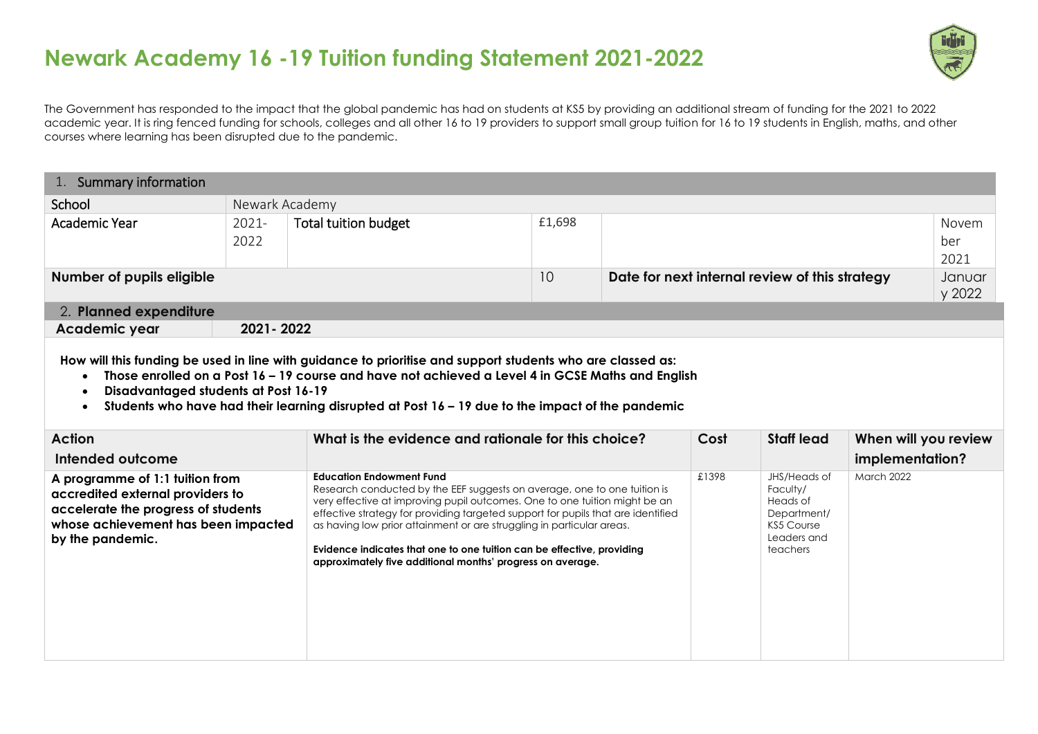

The Government has responded to the impact that the global pandemic has had on students at KS5 by providing an additional stream of funding for the 2021 to 2022 academic year. It is ring fenced funding for schools, colleges and all other 16 to 19 providers to support small group tuition for 16 to 19 students in English, maths, and other courses where learning has been disrupted due to the pandemic.

| School                         |                                                      |        |      |                   |                 |                      |
|--------------------------------|------------------------------------------------------|--------|------|-------------------|-----------------|----------------------|
|                                | Newark Academy                                       |        |      |                   |                 |                      |
| Academic Year<br>2021-<br>2022 | <b>Total tuition budget</b>                          | £1,698 |      |                   |                 | Novem<br>ber<br>2021 |
| Number of pupils eligible      | 10<br>Date for next internal review of this strategy |        |      | Januar<br>y 2022  |                 |                      |
| 2. Planned expenditure         |                                                      |        |      |                   |                 |                      |
| 2021 - 2022<br>Academic year   |                                                      |        |      |                   |                 |                      |
|                                |                                                      |        |      |                   |                 |                      |
| <b>Action</b>                  | What is the evidence and rationale for this choice?  |        | Cost | <b>Staff lead</b> |                 |                      |
| Intended outcome               | <b>Education Endowment Fund</b>                      |        |      |                   | implementation? | When will you review |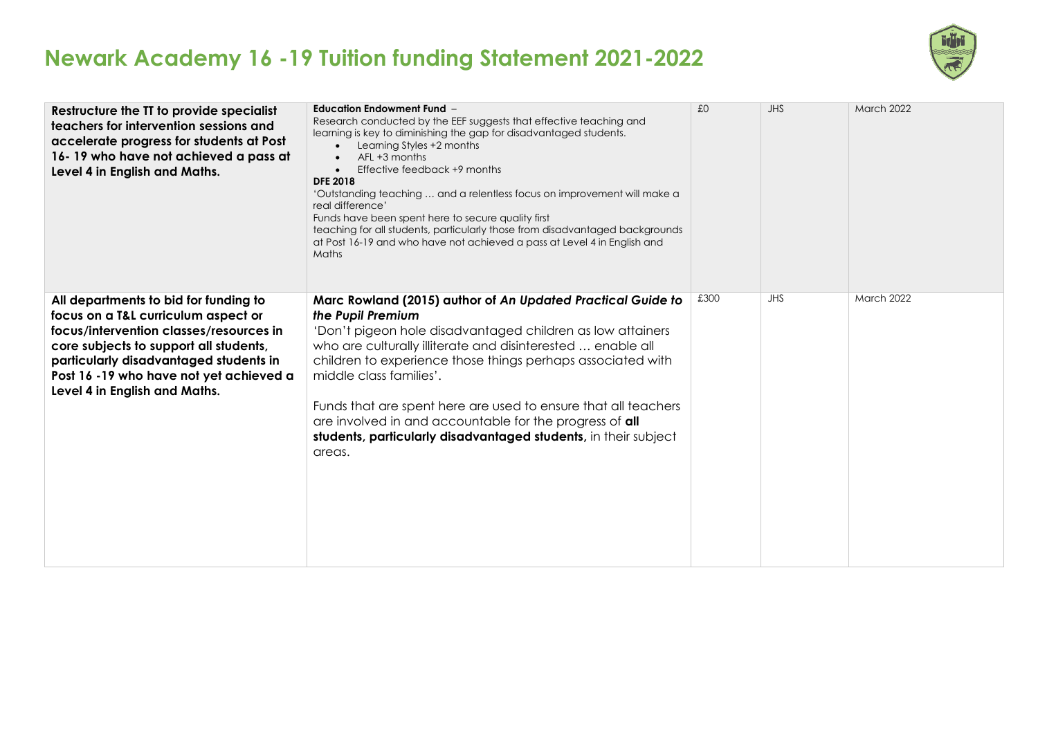

| Restructure the TT to provide specialist<br>teachers for intervention sessions and<br>accelerate progress for students at Post<br>16-19 who have not achieved a pass at<br>Level 4 in English and Maths.                                                                                | <b>Education Endowment Fund -</b><br>Research conducted by the EEF suggests that effective teaching and<br>learning is key to diminishing the gap for disadvantaged students.<br>Learning Styles +2 months<br>$AFL + 3$ months<br>Effective feedback +9 months<br><b>DFE 2018</b><br>'Outstanding teaching  and a relentless focus on improvement will make a<br>real difference'<br>Funds have been spent here to secure quality first<br>teaching for all students, particularly those from disadvantaged backgrounds<br>at Post 16-19 and who have not achieved a pass at Level 4 in English and<br>Maths | f <sub>0</sub> | <b>JHS</b> | <b>March 2022</b> |
|-----------------------------------------------------------------------------------------------------------------------------------------------------------------------------------------------------------------------------------------------------------------------------------------|--------------------------------------------------------------------------------------------------------------------------------------------------------------------------------------------------------------------------------------------------------------------------------------------------------------------------------------------------------------------------------------------------------------------------------------------------------------------------------------------------------------------------------------------------------------------------------------------------------------|----------------|------------|-------------------|
| All departments to bid for funding to<br>focus on a T&L curriculum aspect or<br>focus/intervention classes/resources in<br>core subjects to support all students,<br>particularly disadvantaged students in<br>Post 16 -19 who have not yet achieved a<br>Level 4 in English and Maths. | Marc Rowland (2015) author of An Updated Practical Guide to<br>the Pupil Premium<br>'Don't pigeon hole disadvantaged children as low attainers<br>who are culturally illiterate and disinterested  enable all<br>children to experience those things perhaps associated with<br>middle class families'.<br>Funds that are spent here are used to ensure that all teachers<br>are involved in and accountable for the progress of all<br>students, particularly disadvantaged students, in their subject<br>areas.                                                                                            | £300           | <b>JHS</b> | March 2022        |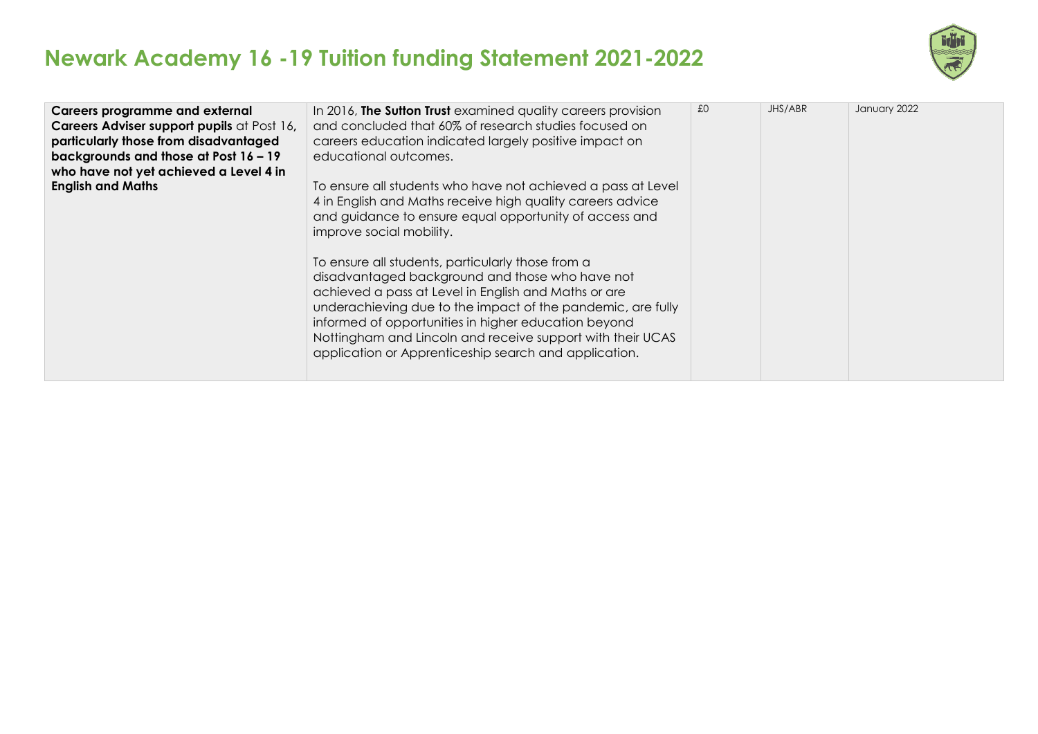

| <b>Careers programme and external</b><br>Careers Adviser support pupils at Post 16,<br>particularly those from disadvantaged<br>backgrounds and those at Post 16 - 19<br>who have not yet achieved a Level 4 in | In 2016, The Sutton Trust examined quality careers provision<br>and concluded that 60% of research studies focused on<br>careers education indicated largely positive impact on<br>educational outcomes.                                                                                                                                              | £0 | JHS/ABR | January 2022 |
|-----------------------------------------------------------------------------------------------------------------------------------------------------------------------------------------------------------------|-------------------------------------------------------------------------------------------------------------------------------------------------------------------------------------------------------------------------------------------------------------------------------------------------------------------------------------------------------|----|---------|--------------|
| <b>English and Maths</b>                                                                                                                                                                                        | To ensure all students who have not achieved a pass at Level<br>4 in English and Maths receive high quality careers advice<br>and guidance to ensure equal opportunity of access and<br>improve social mobility.<br>To ensure all students, particularly those from a                                                                                 |    |         |              |
|                                                                                                                                                                                                                 | disadvantaged background and those who have not<br>achieved a pass at Level in English and Maths or are<br>underachieving due to the impact of the pandemic, are fully<br>informed of opportunities in higher education beyond<br>Nottingham and Lincoln and receive support with their UCAS<br>application or Apprenticeship search and application. |    |         |              |